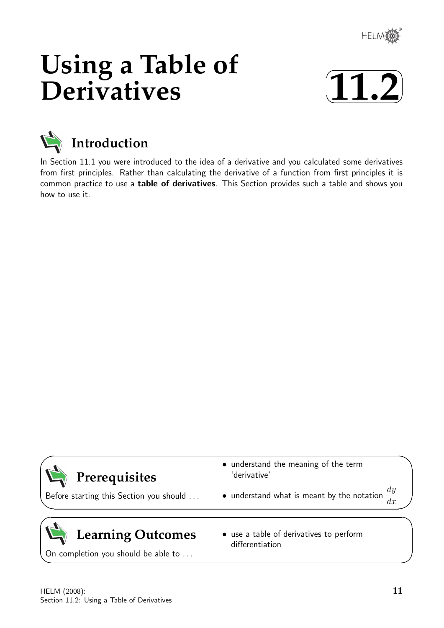

# **Using a Table of Derivatives**





In Section 11.1 you were introduced to the idea of a derivative and you calculated some derivatives from first principles. Rather than calculating the derivative of a function from first principles it is common practice to use a table of derivatives. This Section provides such a table and shows you how to use it.

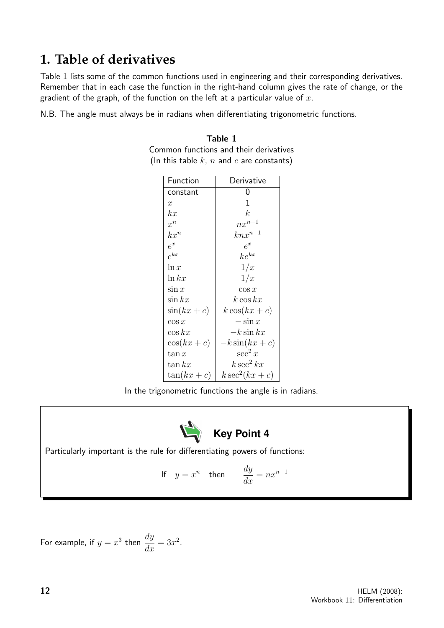## **1. Table of derivatives**

Table 1 lists some of the common functions used in engineering and their corresponding derivatives. Remember that in each case the function in the right-hand column gives the rate of change, or the gradient of the graph, of the function on the left at a particular value of  $x$ .

N.B. The angle must always be in radians when differentiating trigonometric functions.

|  |  | Common functions and their derivatives          |
|--|--|-------------------------------------------------|
|  |  | (In this table $k$ , $n$ and $c$ are constants) |

Table 1

| Function         | Derivative       |
|------------------|------------------|
| constant         |                  |
| $\boldsymbol{x}$ | 1                |
| kx               | k.               |
| $x^n$            | $nx^{n-1}$       |
| $kx^n$           | $knx^{n-1}$      |
| $e^x$            | $e^x$            |
| $e^{kx}$         | $ke^{kx}$        |
| $\ln x$          | 1/x              |
| $\ln kx$         | 1/x              |
| $\sin x$         | $\cos x$         |
| $\sin kx$        | $k\cos kx$       |
| $\sin(kx+c)$     | $k\cos(kx+c)$    |
| $\cos x$         | $-\sin x$        |
| $\cos kx$        | $-k\sin kx$      |
| $\cos(kx+c)$     | $-k\sin(kx+c)$   |
| $\tan x$         | $\sec^2 x$       |
| $\tan kx$        | $k\sec^2 kx$     |
| $\tan(kx+c)$     | $k \sec^2(kx+c)$ |

In the trigonometric functions the angle is in radians.



Particularly important is the rule for differentiating powers of functions:

If 
$$
y = x^n
$$
 then  $\frac{dy}{dx} = nx^{n-1}$ 

For example, if  $y = x^3$  then  $\frac{dy}{dx}$  $\frac{dy}{dx} = 3x^2.$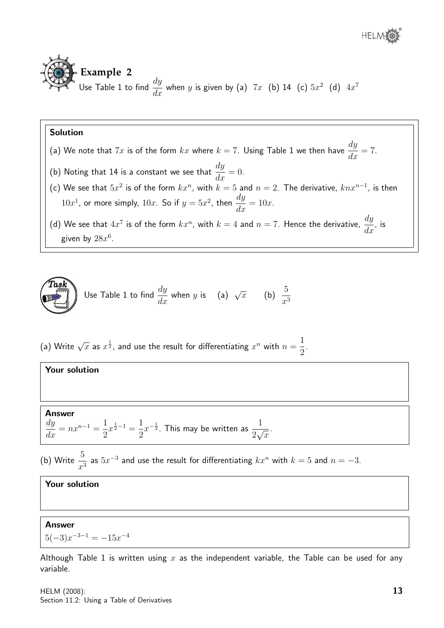



## Solution

- (a) We note that  $7x$  is of the form  $kx$  where  $k=7$ . Using Table 1 we then have  $\frac{dy}{dt}$  $\frac{dy}{dx} = 7.$
- (b) Noting that 14 is a constant we see that  $\frac{dy}{dx}$  $\frac{dy}{dx} = 0.$
- (c) We see that  $5x^2$  is of the form  $kx^n$ , with  $k = 5$  and  $n = 2$ . The derivative,  $knx^{n-1}$ , is then  $10x^1$ , or more simply,  $10x$ . So if  $y = 5x^2$ , then  $\frac{dy}{dx}$  $\frac{dy}{dx} = 10x.$
- (d) We see that  $4x^7$  is of the form  $kx^n$ , with  $k=4$  and  $n=7$ . Hence the derivative,  $\frac{dy}{dt}$  $\frac{dy}{dx}$ , is given by  $28x^6$ .



Use Table 1 to find 
$$
\frac{dy}{dx}
$$
 when y is (a)  $\sqrt{x}$  (b)  $\frac{5}{x^3}$ 

(a) Write  $\sqrt{x}$  as  $x^{\frac{1}{2}}$ , and use the result for differentiating  $x^n$  with  $n=\frac{1}{2}$ 2 .

#### Your solution

Answer

dy

$$
\frac{dy}{dx} = nx^{n-1} = \frac{1}{2}x^{\frac{1}{2}-1} = \frac{1}{2}x^{-\frac{1}{2}}.
$$
 This may be written as  $\frac{1}{2\sqrt{x}}$ .

(b) Write  $\frac{5}{4}$  $\frac{3}{x^3}$  as  $5x^{-3}$  and use the result for differentiating  $kx^n$  with  $k=5$  and  $n=-3$ .

## Your solution

#### Answer

 $5(-3)x^{-3-1} = -15x^{-4}$ 

Although Table 1 is written using  $x$  as the independent variable, the Table can be used for any variable.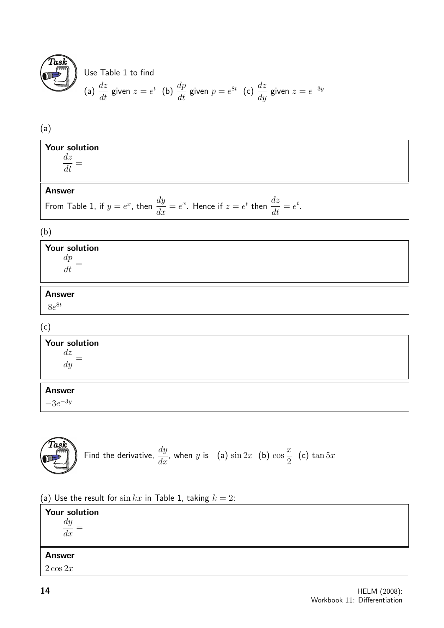

#### Use Table 1 to find (a)  $\frac{dz}{dt}$  $\frac{dz}{dt}$  given  $z = e^t$  (b)  $\frac{dp}{dt}$  $\displaystyle{\frac{dp}{dt}}$  given  $p=e^{8t}$  (c)  $\displaystyle{\frac{dz}{dy}}$  $\frac{dz}{dy}$  given  $z = e^{-3y}$

## (a)

| Your solution<br>dz<br>đt    |                     |              |  |
|------------------------------|---------------------|--------------|--|
| <b>Answer</b>                |                     |              |  |
| _<br>.<br>-<br>$\sim$<br>. . | dч<br>$\sim$ $\sim$ | dz<br>$\sim$ |  |

From Table 1, if 
$$
y = e^x
$$
, then  $\frac{dy}{dx} = e^x$ . Hence if  $z = e^t$  then  $\frac{dz}{dt} = e^t$ .

## (b)

| Your solution<br>$\frac{dp}{dt} =$ |  |  |  |
|------------------------------------|--|--|--|
| <b>Answer</b><br>$8e^{8t}$         |  |  |  |

## (c)

## Your solution dz  $\frac{dx}{dy} =$

## Answer

 $-3e^{-3y}$ 



Find the derivative, 
$$
\frac{dy}{dx}
$$
, when y is (a)  $\sin 2x$  (b)  $\cos \frac{x}{2}$  (c)  $\tan 5x$ 

(a) Use the result for  $\sin kx$  in Table 1, taking  $k = 2$ :

| <b>Your solution</b><br>$\,dy$<br>$- =$<br>dx |  |
|-----------------------------------------------|--|
| <b>Answer</b>                                 |  |
| $2\cos 2x$                                    |  |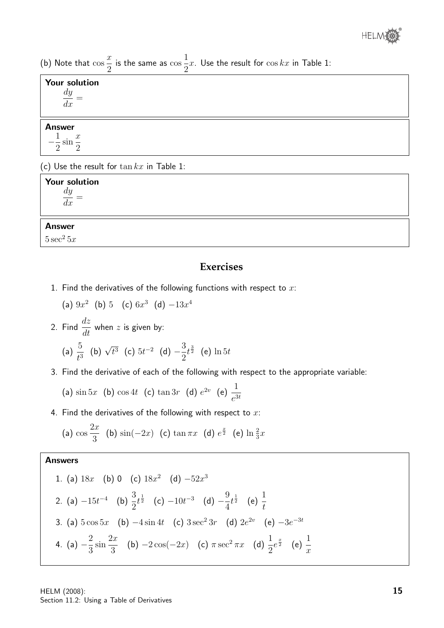(b) Note that cos  $\overline{x}$ 2 is the same as cos 1 2  $x$ . Use the result for  $\cos kx$  in Table 1:

| <b>Your solution</b>                         |
|----------------------------------------------|
| $\frac{dy}{dx}$                              |
|                                              |
|                                              |
| <b>Answer</b>                                |
|                                              |
| $-\frac{1}{2}\sin\frac{x}{2}$                |
|                                              |
| (c) Use the result for $\tan kx$ in Table 1: |
| <b>Your solution</b>                         |
|                                              |
| $\frac{dy}{dx} =$                            |

### Answer

 $5 \sec^2 5x$ 

## **Exercises**

1. Find the derivatives of the following functions with respect to  $x$ :

(a)  $9x^2$  (b) 5 (c)  $6x^3$  (d)  $-13x^4$ 

2. Find  $\frac{dz}{dt}$  $\frac{d\alpha}{dt}$  when  $z$  is given by:

(a) 
$$
\frac{5}{t^3}
$$
 (b)  $\sqrt{t^3}$  (c)  $5t^{-2}$  (d)  $-\frac{3}{2}t^{\frac{3}{2}}$  (e)  $\ln 5t$ 

3. Find the derivative of each of the following with respect to the appropriate variable:

(a) 
$$
\sin 5x
$$
 (b)  $\cos 4t$  (c)  $\tan 3r$  (d)  $e^{2v}$  (e)  $\frac{1}{e^{3t}}$ 

4. Find the derivatives of the following with respect to  $x$ :

(a) 
$$
\cos \frac{2x}{3}
$$
 (b)  $\sin(-2x)$  (c)  $\tan \pi x$  (d)  $e^{\frac{x}{2}}$  (e)  $\ln \frac{2}{3}x$ 

## Answers

1. (a) 
$$
18x
$$
 (b) 0 (c)  $18x^2$  (d)  $-52x^3$   
\n2. (a)  $-15t^{-4}$  (b)  $\frac{3}{2}t^{\frac{1}{2}}$  (c)  $-10t^{-3}$  (d)  $-\frac{9}{4}t^{\frac{1}{2}}$  (e)  $\frac{1}{t}$   
\n3. (a)  $5\cos 5x$  (b)  $-4\sin 4t$  (c)  $3\sec^2 3r$  (d)  $2e^{2v}$  (e)  $-3e^{-3t}$   
\n4. (a)  $-\frac{2}{3}\sin \frac{2x}{3}$  (b)  $-2\cos(-2x)$  (c)  $\pi \sec^2 \pi x$  (d)  $\frac{1}{2}e^{\frac{x}{2}}$  (e)  $\frac{1}{x}$ 

HELM (2008): Section 11.2: Using a Table of Derivatives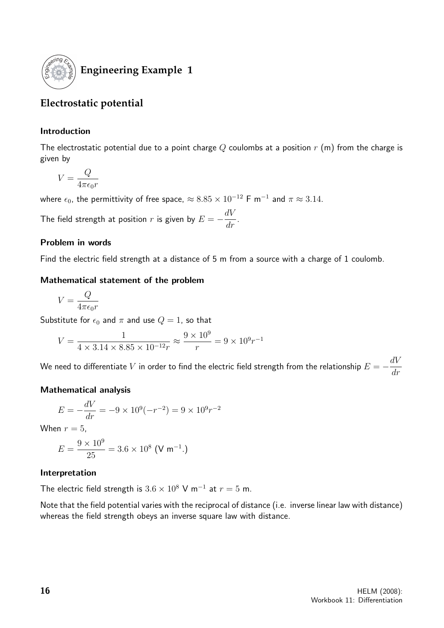

## **Engineering Example 1**

## **Electrostatic potential**

## Introduction

The electrostatic potential due to a point charge  $Q$  coulombs at a position  $r$  (m) from the charge is given by

$$
V = \frac{Q}{4\pi\epsilon_0 r}
$$

where  $\epsilon_0$ , the permittivity of free space,  $\approx 8.85 \times 10^{-12}$  F m $^{-1}$  and  $\pi \approx 3.14.$ 

The field strength at position  $r$  is given by  $E = -\frac{dV}{dt}$  $\frac{d}{dr}$ .

## Problem in words

Find the electric field strength at a distance of 5 m from a source with a charge of 1 coulomb.

## Mathematical statement of the problem

$$
V = \frac{Q}{4\pi\epsilon_0 r}
$$

Substitute for  $\epsilon_0$  and  $\pi$  and use  $Q = 1$ , so that

$$
V = \frac{1}{4 \times 3.14 \times 8.85 \times 10^{-12} r} \approx \frac{9 \times 10^9}{r} = 9 \times 10^9 r^{-1}
$$

We need to differentiate  $V$  in order to find the electric field strength from the relationship  $E=-\frac{dV}{dt}$ dr

## Mathematical analysis

$$
E = -\frac{dV}{dr} = -9 \times 10^{9} (-r^{-2}) = 9 \times 10^{9} r^{-2}
$$

When  $r = 5$ ,

$$
E = \frac{9 \times 10^9}{25} = 3.6 \times 10^8 \text{ (V m}^{-1}.)
$$

## Interpretation

The electric field strength is  $3.6 \times 10^8$  V m<sup>-1</sup> at  $r = 5$  m.

Note that the field potential varies with the reciprocal of distance (i.e. inverse linear law with distance) whereas the field strength obeys an inverse square law with distance.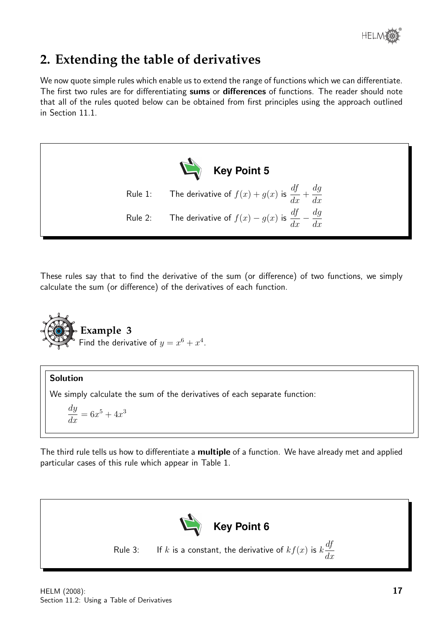

## **2. Extending the table of derivatives**

We now quote simple rules which enable us to extend the range of functions which we can differentiate. The first two rules are for differentiating sums or differences of functions. The reader should note that all of the rules quoted below can be obtained from first principles using the approach outlined in Section 11.1.



These rules say that to find the derivative of the sum (or difference) of two functions, we simply calculate the sum (or difference) of the derivatives of each function.



## Solution

We simply calculate the sum of the derivatives of each separate function:

dy  $\frac{dy}{dx} = 6x^5 + 4x^3$ 

The third rule tells us how to differentiate a **multiple** of a function. We have already met and applied particular cases of this rule which appear in Table 1.

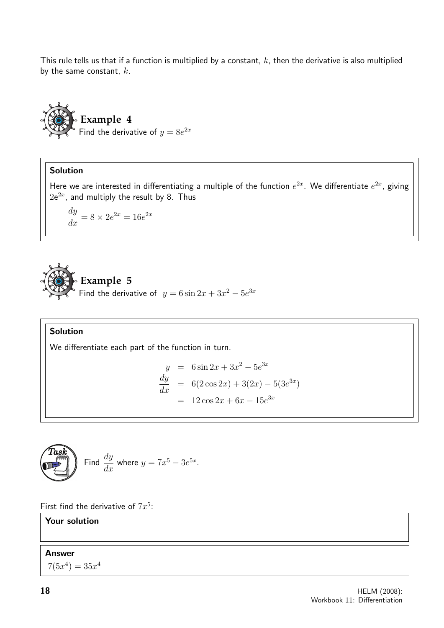This rule tells us that if a function is multiplied by a constant,  $k$ , then the derivative is also multiplied by the same constant,  $k$ .



## Solution

Here we are interested in differentiating a multiple of the function  $e^{2x}$ . We differentiate  $e^{2x}$ , giving  $2e^{2x}$ , and multiply the result by 8. Thus

$$
\frac{dy}{dx} = 8 \times 2e^{2x} = 16e^{2x}
$$



## Solution

We differentiate each part of the function in turn.

$$
y = 6\sin 2x + 3x^2 - 5e^{3x}
$$
  
\n
$$
\frac{dy}{dx} = 6(2\cos 2x) + 3(2x) - 5(3e^{3x})
$$
  
\n
$$
= 12\cos 2x + 6x - 15e^{3x}
$$



First find the derivative of  $7x^5$ :

## Your solution

#### Answer

 $7(5x^4) = 35x^4$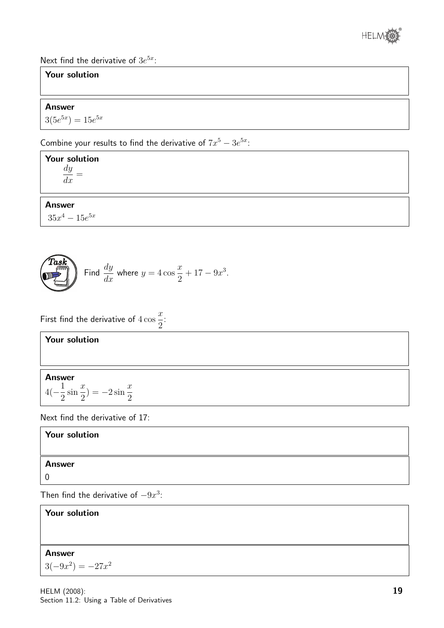

Next find the derivative of  $3e^{5x}$ :

## Your solution

#### Answer

 $3(5e^{5x}) = 15e^{5x}$ 

Combine your results to find the derivative of  $7x^5 - 3e^{5x}$ .

Your solution dy  $\frac{dy}{dx} =$ 

Answer

 $35x^4 - 15e^{5x}$ 



$$
y \frac{dy}{dx} \text{ where } y = 4\cos\frac{x}{2} + 17 - 9x^3.
$$

First find the derivative of  $4\cos$  $\overline{x}$ 2 :

## Your solution

### Answer

$$
4(-\frac{1}{2}\sin\frac{x}{2})=-2\sin\frac{x}{2}
$$

Next find the derivative of 17:

## Your solution

### Answer

0

Then find the derivative of  $-9x^3$ :

## Your solution Answer  $3(-9x^2) = -27x^2$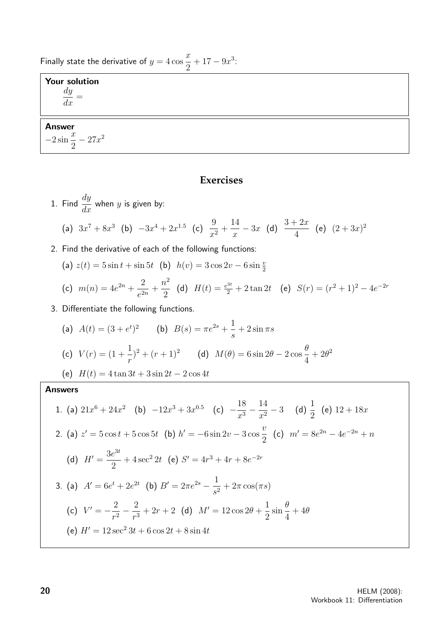Finally state the derivative of  $y = 4 \cos \theta$  $\overline{x}$ 2  $+17-9x^3$ :

## Your solution

dy  $\frac{dy}{dx} =$ 

## Answer  $\frac{x}{2}$  sin  $\frac{x}{2}$

2  $-27x^2$ 

## **Exercises**

1. Find 
$$
\frac{dy}{dx}
$$
 when y is given by:  
\n(a)  $3x^7 + 8x^3$  (b)  $-3x^4 + 2x^{1.5}$  (c)  $\frac{9}{x^2} + \frac{14}{x} - 3x$  (d)  $\frac{3+2x}{4}$  (e)  $(2+3x)^2$   
\n2. Find the derivative of each of the following functions:  
\n(a)  $z(t) = 5 \sin t + \sin 5t$  (b)  $h(v) = 3 \cos 2v - 6 \sin \frac{v}{2}$   
\n(c)  $m(n) = 4e^{2n} + \frac{2}{e^{2n}} + \frac{n^2}{2}$  (d)  $H(t) = \frac{e^{3t}}{2} + 2 \tan 2t$  (e)  $S(r) = (r^2 + 1)^2 - 4e^{-2r}$   
\n3. Differentiate the following functions.  
\n(a)  $A(t) = (3 + e^t)^2$  (b)  $B(s) = \pi e^{2s} + \frac{1}{s} + 2 \sin \pi s$   
\n(c)  $V(r) = (1 + \frac{1}{r})^2 + (r + 1)^2$  (d)  $M(\theta) = 6 \sin 2\theta - 2 \cos \frac{\theta}{4} + 2\theta^2$   
\n(e)  $H(t) = 4 \tan 3t + 3 \sin 2t - 2 \cos 4t$   
\nAnswers  
\n1. (a)  $21x^6 + 24x^2$  (b)  $-12x^3 + 3x^{0.5}$  (c)  $-\frac{18}{x^3} - \frac{14}{x^2} - 3$  (d)  $\frac{1}{2}$  (e)  $12 + 18x$   
\n2. (a)  $z' = 5 \cos t + 5 \cos 5t$  (b)  $h' = -6 \sin 2v - 3 \cos \frac{v}{2}$  (c)  $m' = 8e^{2n} - 4e^{-2n} + n$   
\n(d)  $H' = \frac{3e^{3t}}{2} + 4 \sec^2 2t$  (e)  $S' = 4r^3 + 4r + 8e^{-2r}$   
\n3. (a)  $A' = 6e^t + 2e^{2t}$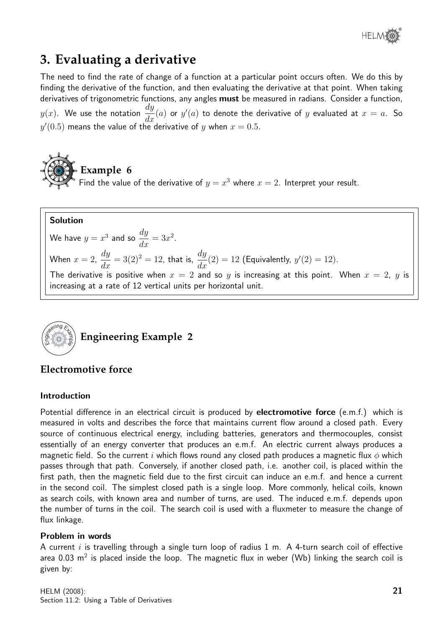

## **3. Evaluating a derivative**

The need to find the rate of change of a function at a particular point occurs often. We do this by finding the derivative of the function, and then evaluating the derivative at that point. When taking derivatives of trigonometric functions, any angles must be measured in radians. Consider a function,  $y(x)$ . We use the notation  $\frac{dy}{dx}$  $\frac{dy}{dx}(a)$  or  $y'(a)$  to denote the derivative of  $y$  evaluated at  $x = a$ . So  $y^\prime(0.5)$  means the value of the derivative of  $y$  when  $x=0.5.$ 



Find the value of the derivative of  $y = x^3$  where  $x = 2$ . Interpret your result.

## Solution

We have  $y = x^3$  and so  $\frac{dy}{dx}$  $\frac{dy}{dx} = 3x^2.$ 

When  $x = 2$ ,  $\frac{dy}{dx} = 3(2)^2 = 12$ , that is,  $\frac{dy}{dx}(2) = 12$  (Equivalently,  $y'(2) = 12$ ).

The derivative is positive when  $x = 2$  and so y is increasing at this point. When  $x = 2$ , y is increasing at a rate of 12 vertical units per horizontal unit.



## **Electromotive force**

### Introduction

Potential difference in an electrical circuit is produced by **electromotive force** (e.m.f.) which is measured in volts and describes the force that maintains current flow around a closed path. Every source of continuous electrical energy, including batteries, generators and thermocouples, consist essentially of an energy converter that produces an e.m.f. An electric current always produces a magnetic field. So the current i which flows round any closed path produces a magnetic flux  $\phi$  which passes through that path. Conversely, if another closed path, i.e. another coil, is placed within the first path, then the magnetic field due to the first circuit can induce an e.m.f. and hence a current in the second coil. The simplest closed path is a single loop. More commonly, helical coils, known as search coils, with known area and number of turns, are used. The induced e.m.f. depends upon the number of turns in the coil. The search coil is used with a fluxmeter to measure the change of flux linkage.

### Problem in words

A current  $i$  is travelling through a single turn loop of radius 1 m. A 4-turn search coil of effective area 0.03 m<sup>2</sup> is placed inside the loop. The magnetic flux in weber (Wb) linking the search coil is given by: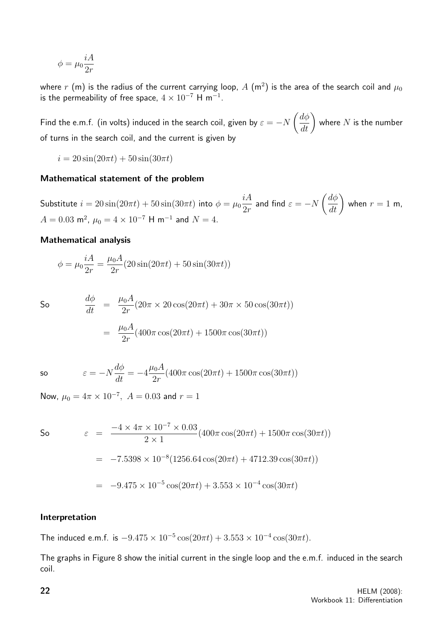$$
\phi=\mu_0\frac{iA}{2r}
$$

where  $r$  (m) is the radius of the current carrying loop,  $A$   $(\mathsf{m}^2)$  is the area of the search coil and  $\mu_0$ is the permeability of free space,  $4 \times 10^{-7}$  H m $^{-1}$ .

Find the e.m.f. (in volts) induced in the search coil, given by  $\varepsilon = -N$  $\left(\frac{d\phi}{dt}\right)$ where  $N$  is the number of turns in the search coil, and the current is given by

 $i = 20 \sin(20\pi t) + 50 \sin(30\pi t)$ 

#### Mathematical statement of the problem

Substitute  $i=20\sin(20\pi t)+50\sin(30\pi t)$  into  $\phi=\mu_0$ iA  $2r$ and find  $\varepsilon = -N$  $\left(\frac{d\phi}{dt}\right)$ when  $r = 1$  m,  $A = 0.03$  m<sup>2</sup>,  $\mu_0 = 4 \times 10^{-7}$  H m<sup>-1</sup> and  $N = 4$ .

#### Mathematical analysis

$$
\phi = \mu_0 \frac{iA}{2r} = \frac{\mu_0 A}{2r} (20 \sin(20\pi t) + 50 \sin(30\pi t))
$$

So 
$$
\frac{d\phi}{dt} = \frac{\mu_0 A}{2r} (20\pi \times 20 \cos(20\pi t) + 30\pi \times 50 \cos(30\pi t))
$$

$$
= \frac{\mu_0 A}{2r} (400\pi \cos(20\pi t) + 1500\pi \cos(30\pi t))
$$

so 
$$
\varepsilon = -N\frac{d\phi}{dt} = -4\frac{\mu_0 A}{2r}(400\pi \cos(20\pi t) + 1500\pi \cos(30\pi t))
$$

Now,  $\mu_0 = 4\pi \times 10^{-7}$ ,  $A = 0.03$  and  $r = 1$ 

So  $\varepsilon =$  $-4 \times 4\pi \times 10^{-7} \times 0.03$  $2 \times 1$  $(400\pi \cos(20\pi t) + 1500\pi \cos(30\pi t))$  $=$  -7.5398 × 10<sup>-8</sup>(1256.64 cos(20 $\pi t$ ) + 4712.39 cos(30 $\pi t$ ))  $= -9.475 \times 10^{-5} \cos(20\pi t) + 3.553 \times 10^{-4} \cos(30\pi t)$ 

#### Interpretation

The induced e.m.f. is  $-9.475 \times 10^{-5} \cos(20\pi t) + 3.553 \times 10^{-4} \cos(30\pi t)$ .

The graphs in Figure 8 show the initial current in the single loop and the e.m.f. induced in the search coil.